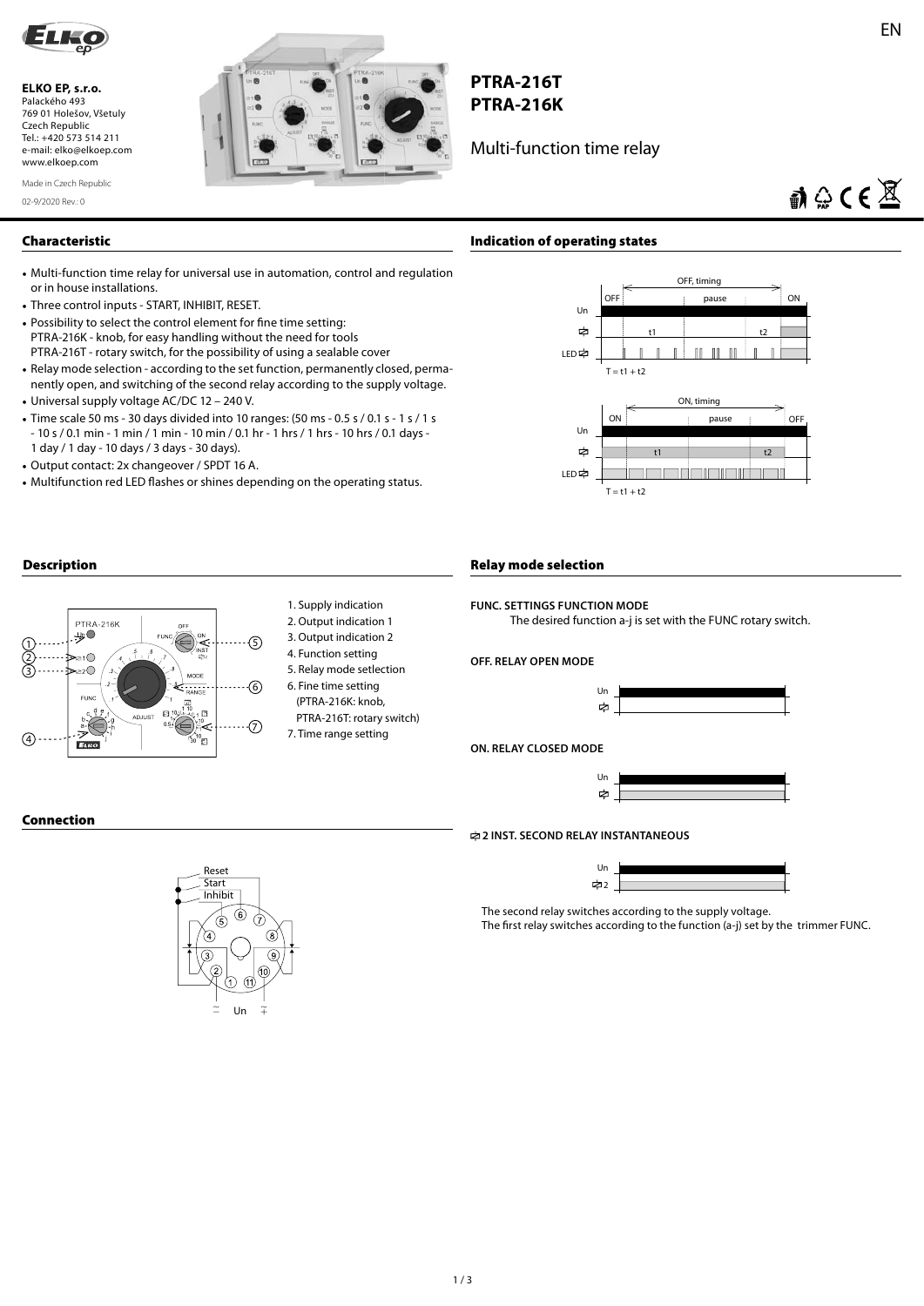

**ELKO EP, s.r.o.**  Palackého 493 769 01 Holešov, Všetuly Czech Republic Tel.: +420 573 514 211 e-mail: elko@elkoep.com www.elkoep.com



# **PTRA-216T PTRA-216K**

Multi-function time relay

02-9/2020 Rev.: 0 Made in Czech Republic

# $\mathbf{a} \oplus \mathbf{C} \in \mathbb{X}$

# **Characteristic**

- Multi-function time relay for universal use in automation, control and regulation or in house installations.
- Three control inputs START, INHIBIT, RESET.
- Possibility to select the control element for fine time setting: PTRA-216K - knob, for easy handling without the need for tools PTRA-216T - rotary switch, for the possibility of using a sealable cover
- Relay mode selection according to the set function, permanently closed, permanently open, and switching of the second relay according to the supply voltage.
- Universal supply voltage AC/DC 12 240 V.
- Time scale 50 ms 30 days divided into 10 ranges: (50 ms 0.5 s / 0.1 s 1 s / 1 s - 10 s / 0.1 min - 1 min / 1 min - 10 min / 0.1 hr - 1 hrs / 1 hrs - 10 hrs / 0.1 days - 1 day / 1 day - 10 days / 3 days - 30 days).
- Output contact: 2x changeover / SPDT 16 A.
- Multifunction red LED flashes or shines depending on the operating status.



# **Description**



- 
- 1. Supply indication
- 2. Output indication 1
- 3. Output indication 2
- 4. Function setting
- 5. Relay mode setlection 6. Fine time setting
- (PTRA-216K: knob,
- PTRA-216T: rotary switch) 7. Time range setting

# **Relay mode selection**

**FUNC. SETTINGS FUNCTION MODE**

The desired function a-j is set with the FUNC rotary switch.

# **OFF. RELAY OPEN MODE**



#### **ON. RELAY CLOSED MODE**



#### **Connection**



#### **2 INST. SECOND RELAY INSTANTANEOUS**



The second relay switches according to the supply voltage. The first relay switches according to the function (a-j) set by the trimmer FUNC.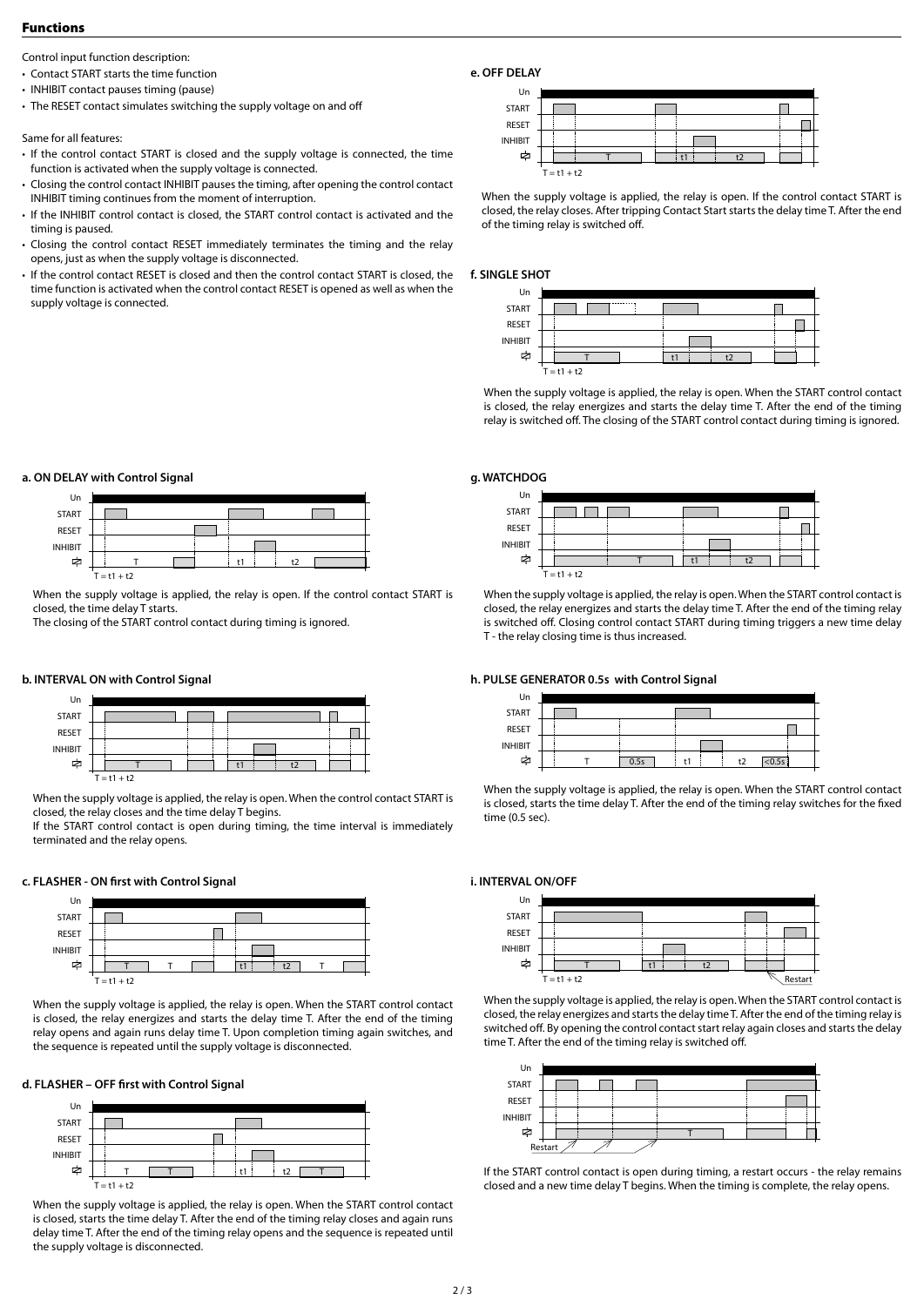#### **Functions**

Control input function description:

• Contact START starts the time function

- INHIBIT contact pauses timing (pause)
- The RESET contact simulates switching the supply voltage on and off

Same for all features:

- If the control contact START is closed and the supply voltage is connected, the time function is activated when the supply voltage is connected.
- Closing the control contact INHIBIT pauses the timing, after opening the control contact INHIBIT timing continues from the moment of interruption.
- If the INHIBIT control contact is closed, the START control contact is activated and the timing is paused.
- Closing the control contact RESET immediately terminates the timing and the relay opens, just as when the supply voltage is disconnected.
- If the control contact RESET is closed and then the control contact START is closed, the time function is activated when the control contact RESET is opened as well as when the supply voltage is connected.

| Un             |               |  |  |  |  |  |  |
|----------------|---------------|--|--|--|--|--|--|
| <b>START</b>   |               |  |  |  |  |  |  |
| <b>RESET</b>   |               |  |  |  |  |  |  |
| <b>INHIBIT</b> |               |  |  |  |  |  |  |
| ⊭              |               |  |  |  |  |  |  |
|                | $T = t1 + t2$ |  |  |  |  |  |  |

When the supply voltage is applied, the relay is open. If the control contact START is closed, the relay closes. After tripping Contact Start starts the delay time T. After the end of the timing relay is switched off.

### **f. SINGLE SHOT**

**e. OFF DELAY**



When the supply voltage is applied, the relay is open. When the START control contact is closed, the relay energizes and starts the delay time T. After the end of the timing relay is switched off. The closing of the START control contact during timing is ignored.

#### **g. WATCHDOG**



When the supply voltage is applied, the relay is open. When the START control contact is closed, the relay energizes and starts the delay time T. After the end of the timing relay is switched off. Closing control contact START during timing triggers a new time delay T - the relay closing time is thus increased.

#### **h. PULSE GENERATOR 0.5s with Control Signal**

| Un             |  |      |  |    |  |    |        |  |
|----------------|--|------|--|----|--|----|--------|--|
| <b>START</b>   |  |      |  |    |  |    |        |  |
| RESET          |  |      |  |    |  |    |        |  |
| <b>INHIBIT</b> |  |      |  |    |  |    |        |  |
| 中              |  | 0.5s |  | t1 |  | t2 | < 0.5s |  |

When the supply voltage is applied, the relay is open. When the START control contact is closed, starts the time delay T. After the end of the timing relay switches for the fixed time (0.5 sec).

#### **i. INTERVAL ON/OFF**



When the supply voltage is applied, the relay is open. When the START control contact is closed, the relay energizes and starts the delay time T. After the end of the timing relay is switched off. By opening the control contact start relay again closes and starts the delay time T. After the end of the timing relay is switched off.



If the START control contact is open during timing, a restart occurs - the relay remains closed and a new time delay T begins. When the timing is complete, the relay opens.

# **a. ON DELAY with Control Signal**



When the supply voltage is applied, the relay is open. If the control contact START is closed, the time delay T starts.

The closing of the START control contact during timing is ignored.

#### **b. INTERVAL ON with Control Signal**



When the supply voltage is applied, the relay is open. When the control contact START is closed, the relay closes and the time delay T begins.

If the START control contact is open during timing, the time interval is immediately terminated and the relay opens.

#### **c. FLASHER - ON first with Control Signal**



When the supply voltage is applied, the relay is open. When the START control contact is closed, the relay energizes and starts the delay time T. After the end of the timing relay opens and again runs delay time T. Upon completion timing again switches, and the sequence is repeated until the supply voltage is disconnected.

#### d. FLASHER - OFF first with Control Signal



When the supply voltage is applied, the relay is open. When the START control contact is closed, starts the time delay T. After the end of the timing relay closes and again runs delay time T. After the end of the timing relay opens and the sequence is repeated until the supply voltage is disconnected.